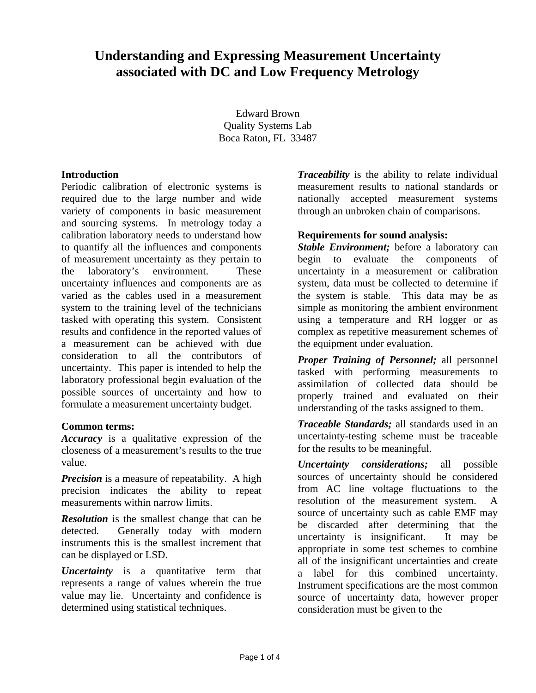## **Understanding and Expressing Measurement Uncertainty associated with DC and Low Frequency Metrology**

Edward Brown Quality Systems Lab Boca Raton, FL 33487

#### **Introduction**

Periodic calibration of electronic systems is required due to the large number and wide variety of components in basic measurement and sourcing systems. In metrology today a calibration laboratory needs to understand how to quantify all the influences and components of measurement uncertainty as they pertain to the laboratory's environment. These uncertainty influences and components are as varied as the cables used in a measurement system to the training level of the technicians tasked with operating this system. Consistent results and confidence in the reported values of a measurement can be achieved with due consideration to all the contributors of uncertainty. This paper is intended to help the laboratory professional begin evaluation of the possible sources of uncertainty and how to formulate a measurement uncertainty budget.

#### **Common terms:**

*Accuracy* is a qualitative expression of the closeness of a measurement's results to the true value.

*Precision* is a measure of repeatability. A high precision indicates the ability to repeat measurements within narrow limits.

*Resolution* is the smallest change that can be detected. Generally today with modern instruments this is the smallest increment that can be displayed or LSD.

*Uncertainty* is a quantitative term that represents a range of values wherein the true value may lie. Uncertainty and confidence is determined using statistical techniques.

*Traceability* is the ability to relate individual measurement results to national standards or nationally accepted measurement systems through an unbroken chain of comparisons.

#### **Requirements for sound analysis:**

*Stable Environment;* before a laboratory can begin to evaluate the components of uncertainty in a measurement or calibration system, data must be collected to determine if the system is stable. This data may be as simple as monitoring the ambient environment using a temperature and RH logger or as complex as repetitive measurement schemes of the equipment under evaluation.

*Proper Training of Personnel;* all personnel tasked with performing measurements to assimilation of collected data should be properly trained and evaluated on their understanding of the tasks assigned to them.

*Traceable Standards;* all standards used in an uncertainty-testing scheme must be traceable for the results to be meaningful.

*Uncertainty considerations;* all possible sources of uncertainty should be considered from AC line voltage fluctuations to the resolution of the measurement system. A source of uncertainty such as cable EMF may be discarded after determining that the uncertainty is insignificant. It may be appropriate in some test schemes to combine all of the insignificant uncertainties and create a label for this combined uncertainty. Instrument specifications are the most common source of uncertainty data, however proper consideration must be given to the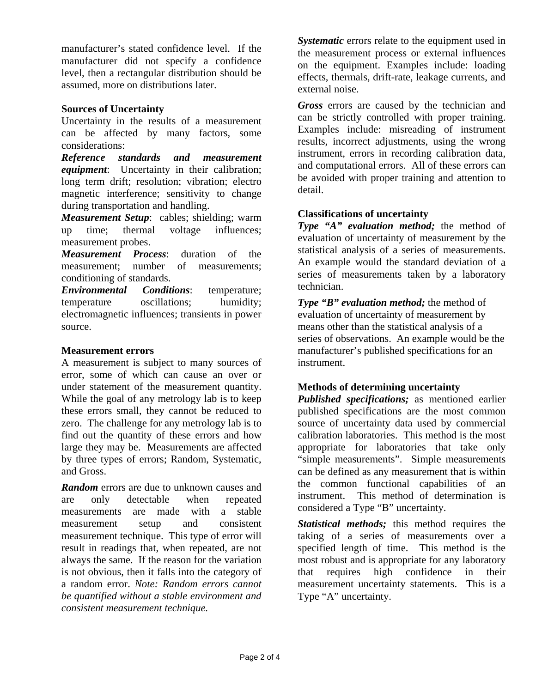manufacturer's stated confidence level. If the manufacturer did not specify a confidence level, then a rectangular distribution should be assumed, more on distributions later.

#### **Sources of Uncertainty**

Uncertainty in the results of a measurement can be affected by many factors, some considerations:

*Reference standards and measurement equipment*: Uncertainty in their calibration; long term drift; resolution; vibration; electro magnetic interference; sensitivity to change during transportation and handling.

*Measurement Setup*: cables; shielding; warm up time; thermal voltage influences; measurement probes.

*Measurement Process*: duration of the measurement; number of measurements; conditioning of standards.

*Environmental Conditions*: temperature; temperature oscillations; humidity; electromagnetic influences; transients in power source.

#### **Measurement errors**

A measurement is subject to many sources of error, some of which can cause an over or under statement of the measurement quantity. While the goal of any metrology lab is to keep these errors small, they cannot be reduced to zero. The challenge for any metrology lab is to find out the quantity of these errors and how large they may be. Measurements are affected by three types of errors; Random, Systematic, and Gross.

*Random* errors are due to unknown causes and are only detectable when repeated measurements are made with a stable measurement setup and consistent measurement technique. This type of error will result in readings that, when repeated, are not always the same. If the reason for the variation is not obvious, then it falls into the category of a random error. *Note: Random errors cannot be quantified without a stable environment and consistent measurement technique.*

*Systematic* errors relate to the equipment used in the measurement process or external influences on the equipment. Examples include: loading effects, thermals, drift-rate, leakage currents, and external noise.

*Gross* errors are caused by the technician and can be strictly controlled with proper training. Examples include: misreading of instrument results, incorrect adjustments, using the wrong instrument, errors in recording calibration data, and computational errors. All of these errors can be avoided with proper training and attention to detail.

#### **Classifications of uncertainty**

*Type "A" evaluation method;* the method of evaluation of uncertainty of measurement by the statistical analysis of a series of measurements. An example would the standard deviation of a series of measurements taken by a laboratory technician.

*Type "B" evaluation method;* the method of evaluation of uncertainty of measurement by means other than the statistical analysis of a series of observations. An example would be the manufacturer's published specifications for an instrument.

#### **Methods of determining uncertainty**

*Published specifications;* as mentioned earlier published specifications are the most common source of uncertainty data used by commercial calibration laboratories. This method is the most appropriate for laboratories that take only "simple measurements". Simple measurements can be defined as any measurement that is within the common functional capabilities of an instrument. This method of determination is considered a Type "B" uncertainty.

*Statistical methods;* this method requires the taking of a series of measurements over a specified length of time. This method is the most robust and is appropriate for any laboratory that requires high confidence in their measurement uncertainty statements. This is a Type "A" uncertainty.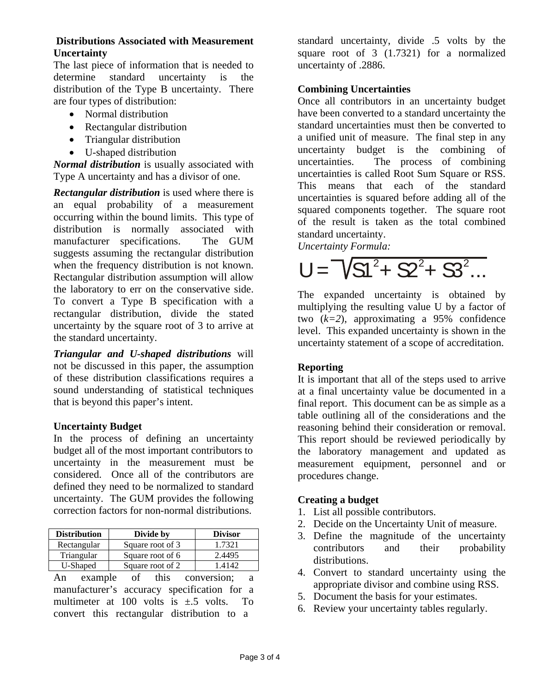#### **Distributions Associated with Measurement Uncertainty**

The last piece of information that is needed to determine standard uncertainty is the distribution of the Type B uncertainty. There are four types of distribution:

- Normal distribution
- Rectangular distribution
- Triangular distribution
- U-shaped distribution

*Normal distribution* is usually associated with Type A uncertainty and has a divisor of one.

*Rectangular distribution* is used where there is an equal probability of a measurement occurring within the bound limits. This type of distribution is normally associated with manufacturer specifications.The GUM suggests assuming the rectangular distribution when the frequency distribution is not known. Rectangular distribution assumption will allow the laboratory to err on the conservative side. To convert a Type B specification with a rectangular distribution, divide the stated uncertainty by the square root of 3 to arrive at the standard uncertainty.

*Triangular and U-shaped distributions* will not be discussed in this paper, the assumption of these distribution classifications requires a sound understanding of statistical techniques that is beyond this paper's intent.

#### **Uncertainty Budget**

In the process of defining an uncertainty budget all of the most important contributors to uncertainty in the measurement must be considered. Once all of the contributors are defined they need to be normalized to standard uncertainty. The GUM provides the following correction factors for non-normal distributions.

| <b>Distribution</b> | Divide by        | <b>Divisor</b> |  |
|---------------------|------------------|----------------|--|
| Rectangular         | Square root of 3 | 1.7321         |  |
| Triangular          | Square root of 6 | 2.4495         |  |
| U-Shaped            | Square root of 2 | 14142          |  |

An example of this conversion; a manufacturer's accuracy specification for a multimeter at 100 volts is  $\pm$  5 volts. To convert this rectangular distribution to a

standard uncertainty, divide .5 volts by the square root of 3 (1.7321) for a normalized uncertainty of .2886.

#### **Combining Uncertainties**

Once all contributors in an uncertainty budget have been converted to a standard uncertainty the standard uncertainties must then be converted to a unified unit of measure. The final step in any uncertainty budget is the combining of uncertainties. The process of combining uncertainties is called Root Sum Square or RSS. This means that each of the standard uncertainties is squared before adding all of the squared components together. The square root of the result is taken as the total combined standard uncertainty.

*Uncertainty Formula:* 

# $U = \sqrt{S^2 + S^2 + S^2}$ ...

The expanded uncertainty is obtained by multiplying the resulting value U by a factor of two (*k=2*), approximating a 95% confidence level. This expanded uncertainty is shown in the uncertainty statement of a scope of accreditation.

### **Reporting**

It is important that all of the steps used to arrive at a final uncertainty value be documented in a final report. This document can be as simple as a table outlining all of the considerations and the reasoning behind their consideration or removal. This report should be reviewed periodically by the laboratory management and updated as measurement equipment, personnel and or procedures change.

### **Creating a budget**

- 1. List all possible contributors.
- 2. Decide on the Uncertainty Unit of measure.
- 3. Define the magnitude of the uncertainty contributors and their probability distributions.
- 4. Convert to standard uncertainty using the appropriate divisor and combine using RSS.
- 5. Document the basis for your estimates.
- 6. Review your uncertainty tables regularly.